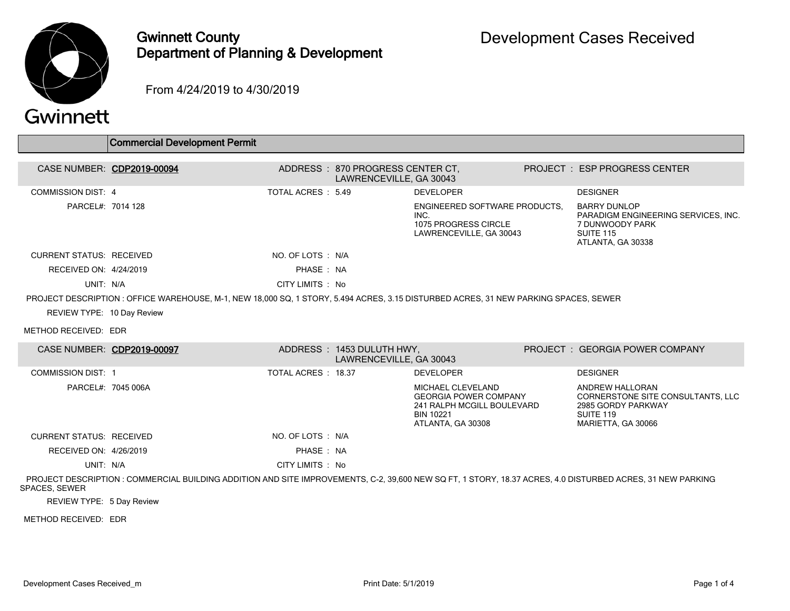

## Gwinnett County Department of Planning & Development

From 4/24/2019 to 4/30/2019

## Gwinnett

|                                 | <b>Commercial Development Permit</b>                                                                                                                      |                     |                                                              |                                                                                                                          |                                                                                                                 |
|---------------------------------|-----------------------------------------------------------------------------------------------------------------------------------------------------------|---------------------|--------------------------------------------------------------|--------------------------------------------------------------------------------------------------------------------------|-----------------------------------------------------------------------------------------------------------------|
| CASE NUMBER: CDP2019-00094      |                                                                                                                                                           |                     | ADDRESS : 870 PROGRESS CENTER CT.<br>LAWRENCEVILLE, GA 30043 |                                                                                                                          | <b>PROJECT : ESP PROGRESS CENTER</b>                                                                            |
| <b>COMMISSION DIST: 4</b>       |                                                                                                                                                           | TOTAL ACRES : 5.49  |                                                              | <b>DEVELOPER</b>                                                                                                         | <b>DESIGNER</b>                                                                                                 |
| PARCEL#: 7014 128               |                                                                                                                                                           |                     |                                                              | ENGINEERED SOFTWARE PRODUCTS.<br>INC.<br>1075 PROGRESS CIRCLE<br>LAWRENCEVILLE, GA 30043                                 | <b>BARRY DUNLOP</b><br>PARADIGM ENGINEERING SERVICES, INC.<br>7 DUNWOODY PARK<br>SUITE 115<br>ATLANTA, GA 30338 |
| <b>CURRENT STATUS: RECEIVED</b> |                                                                                                                                                           | NO. OF LOTS: N/A    |                                                              |                                                                                                                          |                                                                                                                 |
| RECEIVED ON: 4/24/2019          |                                                                                                                                                           | PHASE: NA           |                                                              |                                                                                                                          |                                                                                                                 |
| UNIT: N/A                       |                                                                                                                                                           | CITY LIMITS : No    |                                                              |                                                                                                                          |                                                                                                                 |
|                                 | PROJECT DESCRIPTION: OFFICE WAREHOUSE, M-1, NEW 18,000 SQ, 1 STORY, 5.494 ACRES, 3.15 DISTURBED ACRES, 31 NEW PARKING SPACES, SEWER                       |                     |                                                              |                                                                                                                          |                                                                                                                 |
| REVIEW TYPE: 10 Day Review      |                                                                                                                                                           |                     |                                                              |                                                                                                                          |                                                                                                                 |
| METHOD RECEIVED: EDR            |                                                                                                                                                           |                     |                                                              |                                                                                                                          |                                                                                                                 |
| CASE NUMBER: CDP2019-00097      |                                                                                                                                                           |                     | ADDRESS: 1453 DULUTH HWY,<br>LAWRENCEVILLE, GA 30043         |                                                                                                                          | PROJECT: GEORGIA POWER COMPANY                                                                                  |
| <b>COMMISSION DIST: 1</b>       |                                                                                                                                                           | TOTAL ACRES : 18.37 |                                                              | <b>DEVELOPER</b>                                                                                                         | <b>DESIGNER</b>                                                                                                 |
| PARCEL#: 7045 006A              |                                                                                                                                                           |                     |                                                              | MICHAEL CLEVELAND<br><b>GEORGIA POWER COMPANY</b><br>241 RALPH MCGILL BOULEVARD<br><b>BIN 10221</b><br>ATLANTA, GA 30308 | ANDREW HALLORAN<br>CORNERSTONE SITE CONSULTANTS, LLC<br>2985 GORDY PARKWAY<br>SUITE 119<br>MARIETTA, GA 30066   |
| <b>CURRENT STATUS: RECEIVED</b> |                                                                                                                                                           | NO. OF LOTS: N/A    |                                                              |                                                                                                                          |                                                                                                                 |
| RECEIVED ON: 4/26/2019          |                                                                                                                                                           | PHASE: NA           |                                                              |                                                                                                                          |                                                                                                                 |
| UNIT: N/A                       |                                                                                                                                                           | CITY LIMITS : No    |                                                              |                                                                                                                          |                                                                                                                 |
| <b>SPACES, SEWER</b>            | PROJECT DESCRIPTION: COMMERCIAL BUILDING ADDITION AND SITE IMPROVEMENTS, C-2, 39,600 NEW SQ FT, 1 STORY, 18.37 ACRES, 4.0 DISTURBED ACRES, 31 NEW PARKING |                     |                                                              |                                                                                                                          |                                                                                                                 |
|                                 |                                                                                                                                                           |                     |                                                              |                                                                                                                          |                                                                                                                 |

REVIEW TYPE: 5 Day Review

METHOD RECEIVED: EDR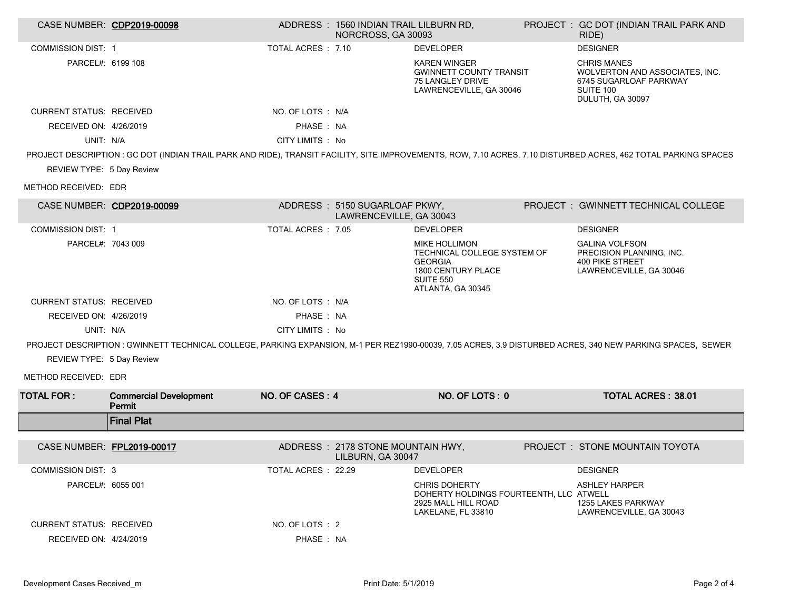|                                 | CASE NUMBER: CDP2019-00098              |                     | ADDRESS: 1560 INDIAN TRAIL LILBURN RD,<br>NORCROSS, GA 30093 |                                                                                                                                      | PROJECT : GC DOT (INDIAN TRAIL PARK AND<br>RIDE)                                                                                                                |
|---------------------------------|-----------------------------------------|---------------------|--------------------------------------------------------------|--------------------------------------------------------------------------------------------------------------------------------------|-----------------------------------------------------------------------------------------------------------------------------------------------------------------|
| <b>COMMISSION DIST: 1</b>       |                                         | TOTAL ACRES : 7.10  |                                                              | <b>DEVELOPER</b>                                                                                                                     | <b>DESIGNER</b>                                                                                                                                                 |
| PARCEL#: 6199 108               |                                         |                     |                                                              | <b>KAREN WINGER</b><br><b>GWINNETT COUNTY TRANSIT</b><br>75 LANGLEY DRIVE<br>LAWRENCEVILLE, GA 30046                                 | <b>CHRIS MANES</b><br>WOLVERTON AND ASSOCIATES, INC.<br>6745 SUGARLOAF PARKWAY<br>SUITE 100<br>DULUTH, GA 30097                                                 |
| <b>CURRENT STATUS: RECEIVED</b> |                                         | NO. OF LOTS : N/A   |                                                              |                                                                                                                                      |                                                                                                                                                                 |
| RECEIVED ON: 4/26/2019          |                                         | PHASE: NA           |                                                              |                                                                                                                                      |                                                                                                                                                                 |
| UNIT: N/A                       |                                         | CITY LIMITS : No    |                                                              |                                                                                                                                      |                                                                                                                                                                 |
|                                 |                                         |                     |                                                              |                                                                                                                                      | PROJECT DESCRIPTION : GC DOT (INDIAN TRAIL PARK AND RIDE), TRANSIT FACILITY, SITE IMPROVEMENTS, ROW, 7.10 ACRES, 7.10 DISTURBED ACRES, 462 TOTAL PARKING SPACES |
| REVIEW TYPE: 5 Day Review       |                                         |                     |                                                              |                                                                                                                                      |                                                                                                                                                                 |
| METHOD RECEIVED: EDR            |                                         |                     |                                                              |                                                                                                                                      |                                                                                                                                                                 |
|                                 | CASE NUMBER: CDP2019-00099              |                     | ADDRESS: 5150 SUGARLOAF PKWY,<br>LAWRENCEVILLE, GA 30043     |                                                                                                                                      | PROJECT : GWINNETT TECHNICAL COLLEGE                                                                                                                            |
| <b>COMMISSION DIST: 1</b>       |                                         | TOTAL ACRES : 7.05  |                                                              | <b>DEVELOPER</b>                                                                                                                     | <b>DESIGNER</b>                                                                                                                                                 |
| PARCEL#: 7043 009               |                                         |                     |                                                              | <b>MIKE HOLLIMON</b><br>TECHNICAL COLLEGE SYSTEM OF<br><b>GEORGIA</b><br>1800 CENTURY PLACE<br><b>SUITE 550</b><br>ATLANTA, GA 30345 | <b>GALINA VOLFSON</b><br>PRECISION PLANNING. INC.<br><b>400 PIKE STREET</b><br>LAWRENCEVILLE, GA 30046                                                          |
| <b>CURRENT STATUS: RECEIVED</b> |                                         | NO. OF LOTS : N/A   |                                                              |                                                                                                                                      |                                                                                                                                                                 |
| RECEIVED ON: 4/26/2019          |                                         | PHASE: NA           |                                                              |                                                                                                                                      |                                                                                                                                                                 |
| UNIT: N/A                       |                                         | CITY LIMITS : No    |                                                              |                                                                                                                                      |                                                                                                                                                                 |
|                                 |                                         |                     |                                                              |                                                                                                                                      | PROJECT DESCRIPTION: GWINNETT TECHNICAL COLLEGE, PARKING EXPANSION, M-1 PER REZ1990-00039, 7.05 ACRES, 3.9 DISTURBED ACRES, 340 NEW PARKING SPACES, SEWER       |
| REVIEW TYPE: 5 Day Review       |                                         |                     |                                                              |                                                                                                                                      |                                                                                                                                                                 |
| METHOD RECEIVED: EDR            |                                         |                     |                                                              |                                                                                                                                      |                                                                                                                                                                 |
| <b>TOTAL FOR:</b>               | <b>Commercial Development</b><br>Permit | NO. OF CASES: 4     |                                                              | NO. OF LOTS: 0                                                                                                                       | <b>TOTAL ACRES: 38.01</b>                                                                                                                                       |
|                                 | <b>Final Plat</b>                       |                     |                                                              |                                                                                                                                      |                                                                                                                                                                 |
| CASE NUMBER: FPL2019-00017      |                                         |                     | ADDRESS: 2178 STONE MOUNTAIN HWY,<br>LILBURN, GA 30047       |                                                                                                                                      | <b>PROJECT : STONE MOUNTAIN TOYOTA</b>                                                                                                                          |
| <b>COMMISSION DIST: 3</b>       |                                         | TOTAL ACRES : 22.29 |                                                              | <b>DEVELOPER</b>                                                                                                                     | <b>DESIGNER</b>                                                                                                                                                 |
| PARCEL#: 6055 001               |                                         |                     |                                                              | <b>CHRIS DOHERTY</b><br>DOHERTY HOLDINGS FOURTEENTH. LLC ATWELL<br>2925 MALL HILL ROAD<br>LAKELANE, FL 33810                         | <b>ASHLEY HARPER</b><br>1255 LAKES PARKWAY<br>LAWRENCEVILLE, GA 30043                                                                                           |
| <b>CURRENT STATUS: RECEIVED</b> |                                         | NO. OF LOTS : 2     |                                                              |                                                                                                                                      |                                                                                                                                                                 |
| RECEIVED ON: 4/24/2019          |                                         | PHASE: NA           |                                                              |                                                                                                                                      |                                                                                                                                                                 |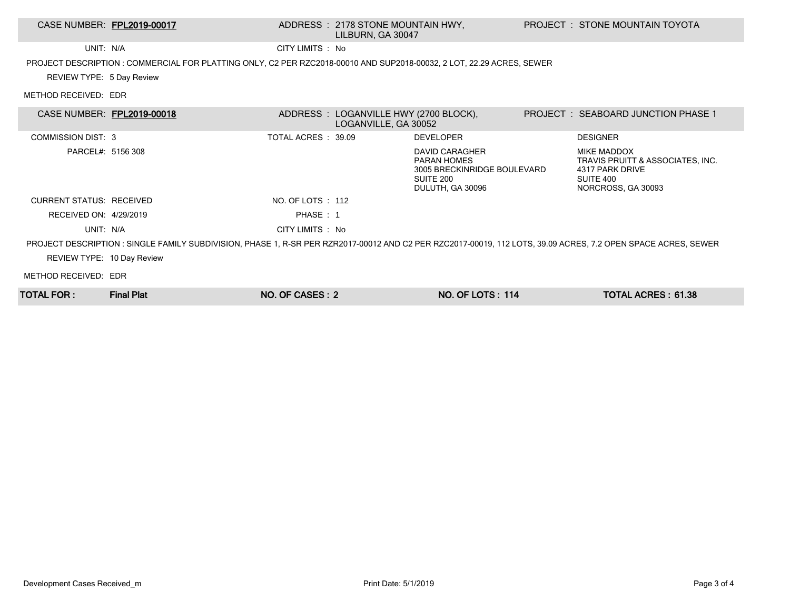## CASE NUMBER: FPL2019-00017 ADDRESS : 2178 STONE MOUNTAIN HWY, LILBURN, GA 30047

UNIT: N/A CITY LIMITS : No

PROJECT DESCRIPTION : COMMERCIAL FOR PLATTING ONLY, C2 PER RZC2018-00010 AND SUP2018-00032, 2 LOT, 22.29 ACRES, SEWER

REVIEW TYPE: 5 Day Review

METHOD RECEIVED: EDR

| CASE NUMBER: FPL2019-00018 |                                                                                                                                                               |                     | ADDRESS : LOGANVILLE HWY (2700 BLOCK),<br>LOGANVILLE, GA 30052 |                                                                                                      | <b>PROJECT : SEABOARD JUNCTION PHASE 1</b>                                                                   |
|----------------------------|---------------------------------------------------------------------------------------------------------------------------------------------------------------|---------------------|----------------------------------------------------------------|------------------------------------------------------------------------------------------------------|--------------------------------------------------------------------------------------------------------------|
| COMMISSION DIST: 3         |                                                                                                                                                               | TOTAL ACRES : 39.09 |                                                                | <b>DEVELOPER</b>                                                                                     | <b>DESIGNER</b>                                                                                              |
| PARCEL#: 5156 308          |                                                                                                                                                               |                     |                                                                | DAVID CARAGHER<br><b>PARAN HOMES</b><br>3005 BRECKINRIDGE BOULEVARD<br>SUITE 200<br>DULUTH, GA 30096 | <b>MIKE MADDOX</b><br>TRAVIS PRUITT & ASSOCIATES, INC.<br>4317 PARK DRIVE<br>SUITE 400<br>NORCROSS, GA 30093 |
| CURRENT STATUS: RECEIVED   |                                                                                                                                                               | NO. OF LOTS : 112   |                                                                |                                                                                                      |                                                                                                              |
| RECEIVED ON: 4/29/2019     |                                                                                                                                                               | PHASE: 1            |                                                                |                                                                                                      |                                                                                                              |
| UNIT: N/A                  |                                                                                                                                                               | CITY LIMITS : No    |                                                                |                                                                                                      |                                                                                                              |
|                            | PROJECT DESCRIPTION : SINGLE FAMILY SUBDIVISION, PHASE 1, R-SR PER RZR2017-00012 AND C2 PER RZC2017-00019, 112 LOTS, 39.09 ACRES, 7.2 OPEN SPACE ACRES, SEWER |                     |                                                                |                                                                                                      |                                                                                                              |
| REVIEW TYPE: 10 Day Review |                                                                                                                                                               |                     |                                                                |                                                                                                      |                                                                                                              |
| METHOD RECEIVED: EDR       |                                                                                                                                                               |                     |                                                                |                                                                                                      |                                                                                                              |
| TOTAL FOR :                | <b>Final Plat</b>                                                                                                                                             | NO. OF CASES: 2     |                                                                | <b>NO. OF LOTS: 114</b>                                                                              | TOTAL ACRES: 61.38                                                                                           |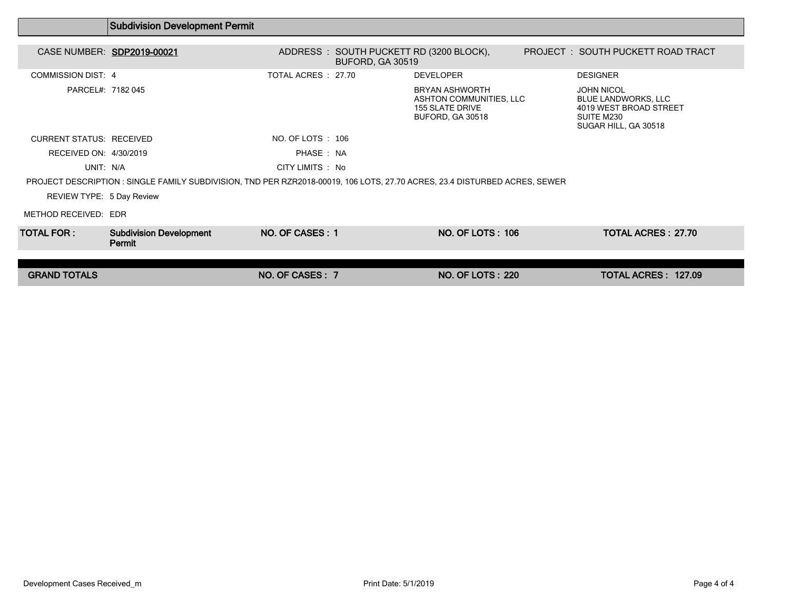|                                 | <b>Subdivision Development Permit</b>                                                                                      |                     |                         |                                                                                                |                                                                                                                 |  |
|---------------------------------|----------------------------------------------------------------------------------------------------------------------------|---------------------|-------------------------|------------------------------------------------------------------------------------------------|-----------------------------------------------------------------------------------------------------------------|--|
| CASE NUMBER: SDP2019-00021      |                                                                                                                            |                     | <b>BUFORD, GA 30519</b> | ADDRESS : SOUTH PUCKETT RD (3200 BLOCK),                                                       | PROJECT: SOUTH PUCKETT ROAD TRACT                                                                               |  |
| <b>COMMISSION DIST: 4</b>       |                                                                                                                            | TOTAL ACRES : 27.70 |                         | <b>DEVELOPER</b>                                                                               | <b>DESIGNER</b>                                                                                                 |  |
| PARCEL#: 7182 045               |                                                                                                                            |                     |                         | <b>BRYAN ASHWORTH</b><br>ASHTON COMMUNITIES, LLC<br><b>155 SLATE DRIVE</b><br>BUFORD, GA 30518 | <b>JOHN NICOL</b><br><b>BLUE LANDWORKS, LLC</b><br>4019 WEST BROAD STREET<br>SUITE M230<br>SUGAR HILL, GA 30518 |  |
| <b>CURRENT STATUS: RECEIVED</b> |                                                                                                                            | NO. OF LOTS : 106   |                         |                                                                                                |                                                                                                                 |  |
| RECEIVED ON: 4/30/2019          |                                                                                                                            | PHASE: NA           |                         |                                                                                                |                                                                                                                 |  |
| UNIT: N/A                       |                                                                                                                            | CITY LIMITS : No    |                         |                                                                                                |                                                                                                                 |  |
|                                 | PROJECT DESCRIPTION : SINGLE FAMILY SUBDIVISION, TND PER RZR2018-00019, 106 LOTS, 27.70 ACRES, 23.4 DISTURBED ACRES, SEWER |                     |                         |                                                                                                |                                                                                                                 |  |
| REVIEW TYPE: 5 Day Review       |                                                                                                                            |                     |                         |                                                                                                |                                                                                                                 |  |
| METHOD RECEIVED: EDR            |                                                                                                                            |                     |                         |                                                                                                |                                                                                                                 |  |
| TOTAL FOR :                     | <b>Subdivision Development</b><br>Permit                                                                                   | NO. OF CASES: 1     |                         | <b>NO. OF LOTS: 106</b>                                                                        | <b>TOTAL ACRES: 27.70</b>                                                                                       |  |
|                                 |                                                                                                                            |                     |                         |                                                                                                |                                                                                                                 |  |
| <b>GRAND TOTALS</b>             |                                                                                                                            | NO. OF CASES: 7     |                         | <b>NO. OF LOTS: 220</b>                                                                        | TOTAL ACRES: 127.09                                                                                             |  |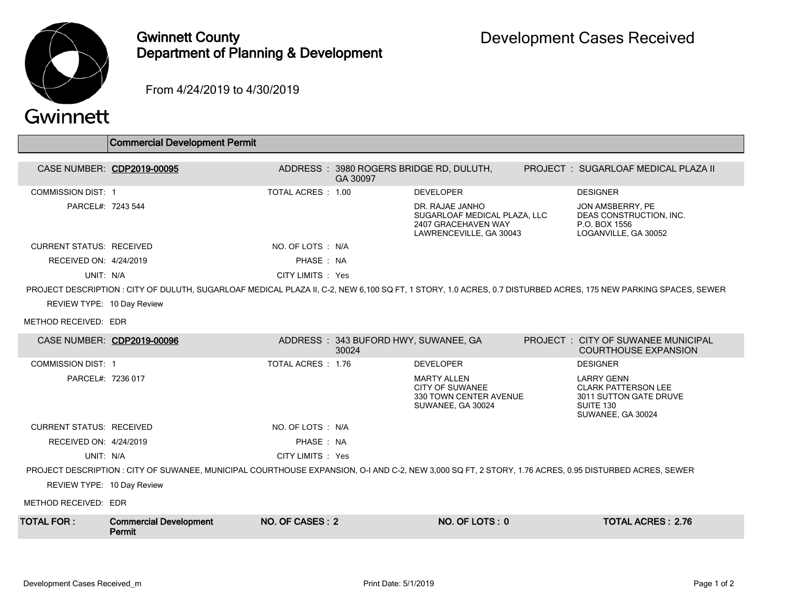

## Gwinnett County Department of Planning & Development

From 4/24/2019 to 4/30/2019

| Gwinnett |  |  |  |
|----------|--|--|--|
|          |  |  |  |

|                                 | <b>Commercial Development Permit</b>                                                                                                                  |                   |                                               |                                                                                                   |                                                                                                                                                                |
|---------------------------------|-------------------------------------------------------------------------------------------------------------------------------------------------------|-------------------|-----------------------------------------------|---------------------------------------------------------------------------------------------------|----------------------------------------------------------------------------------------------------------------------------------------------------------------|
|                                 | CASE NUMBER: CDP2019-00095                                                                                                                            |                   | GA 30097                                      | ADDRESS: 3980 ROGERS BRIDGE RD, DULUTH,                                                           | PROJECT: SUGARLOAF MEDICAL PLAZA II                                                                                                                            |
| <b>COMMISSION DIST: 1</b>       |                                                                                                                                                       | TOTAL ACRES: 1.00 |                                               | <b>DEVELOPER</b>                                                                                  | <b>DESIGNER</b>                                                                                                                                                |
| PARCEL#: 7243 544               |                                                                                                                                                       |                   |                                               | DR. RAJAE JANHO<br>SUGARLOAF MEDICAL PLAZA, LLC<br>2407 GRACEHAVEN WAY<br>LAWRENCEVILLE, GA 30043 | JON AMSBERRY, PE<br>DEAS CONSTRUCTION, INC.<br>P.O. BOX 1556<br>LOGANVILLE, GA 30052                                                                           |
| <b>CURRENT STATUS: RECEIVED</b> |                                                                                                                                                       | NO. OF LOTS : N/A |                                               |                                                                                                   |                                                                                                                                                                |
| RECEIVED ON: 4/24/2019          |                                                                                                                                                       | PHASE: NA         |                                               |                                                                                                   |                                                                                                                                                                |
| UNIT: N/A                       |                                                                                                                                                       | CITY LIMITS : Yes |                                               |                                                                                                   |                                                                                                                                                                |
|                                 |                                                                                                                                                       |                   |                                               |                                                                                                   | PROJECT DESCRIPTION : CITY OF DULUTH, SUGARLOAF MEDICAL PLAZA II, C-2, NEW 6,100 SQ FT, 1 STORY, 1.0 ACRES, 0.7 DISTURBED ACRES, 175 NEW PARKING SPACES, SEWER |
| REVIEW TYPE: 10 Day Review      |                                                                                                                                                       |                   |                                               |                                                                                                   |                                                                                                                                                                |
| METHOD RECEIVED: EDR            |                                                                                                                                                       |                   |                                               |                                                                                                   |                                                                                                                                                                |
|                                 | CASE NUMBER: CDP2019-00096                                                                                                                            |                   | ADDRESS: 343 BUFORD HWY, SUWANEE, GA<br>30024 |                                                                                                   | <b>PROJECT : CITY OF SUWANEE MUNICIPAL</b><br><b>COURTHOUSE EXPANSION</b>                                                                                      |
| <b>COMMISSION DIST: 1</b>       |                                                                                                                                                       | TOTAL ACRES: 1.76 |                                               | <b>DEVELOPER</b>                                                                                  | <b>DESIGNER</b>                                                                                                                                                |
| PARCEL#: 7236 017               |                                                                                                                                                       |                   |                                               | <b>MARTY ALLEN</b><br><b>CITY OF SUWANEE</b><br>330 TOWN CENTER AVENUE<br>SUWANEE, GA 30024       | <b>LARRY GENN</b><br><b>CLARK PATTERSON LEE</b><br>3011 SUTTON GATE DRUVE<br>SUITE 130<br>SUWANEE, GA 30024                                                    |
| <b>CURRENT STATUS: RECEIVED</b> |                                                                                                                                                       | NO. OF LOTS : N/A |                                               |                                                                                                   |                                                                                                                                                                |
| RECEIVED ON: 4/24/2019          |                                                                                                                                                       | PHASE: NA         |                                               |                                                                                                   |                                                                                                                                                                |
| UNIT: N/A                       |                                                                                                                                                       | CITY LIMITS : Yes |                                               |                                                                                                   |                                                                                                                                                                |
|                                 | PROJECT DESCRIPTION : CITY OF SUWANEE, MUNICIPAL COURTHOUSE EXPANSION, O-I AND C-2, NEW 3,000 SQ FT, 2 STORY, 1.76 ACRES, 0.95 DISTURBED ACRES, SEWER |                   |                                               |                                                                                                   |                                                                                                                                                                |
| REVIEW TYPE: 10 Day Review      |                                                                                                                                                       |                   |                                               |                                                                                                   |                                                                                                                                                                |
| METHOD RECEIVED: EDR            |                                                                                                                                                       |                   |                                               |                                                                                                   |                                                                                                                                                                |
| <b>TOTAL FOR:</b>               | <b>Commercial Development</b><br>Permit                                                                                                               | NO. OF CASES: 2   |                                               | NO. OF LOTS: 0                                                                                    | <b>TOTAL ACRES: 2.76</b>                                                                                                                                       |